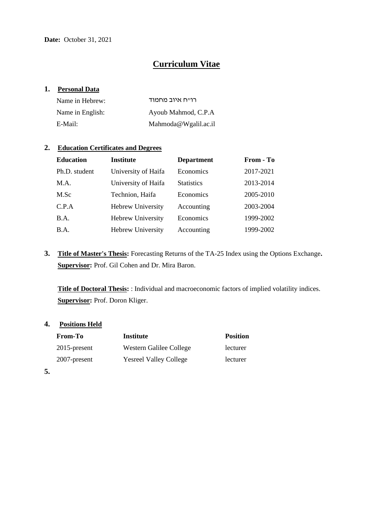# **Curriculum Vitae**

#### **1. Personal Data**

| Name in Hebrew:  | רוייח איוב מחמוד     |
|------------------|----------------------|
| Name in English: | Ayoub Mahmod, C.P.A  |
| E-Mail:          | Mahmoda@Wgalil.ac.il |

## **2. Education Certificates and Degrees**

| <b>Education</b> | <b>Institute</b>    | <b>Department</b> | From - To |
|------------------|---------------------|-------------------|-----------|
| Ph.D. student    | University of Haifa | Economics         | 2017-2021 |
| M.A.             | University of Haifa | <b>Statistics</b> | 2013-2014 |
| M.Sc             | Technion, Haifa     | Economics         | 2005-2010 |
| C.P.A            | Hebrew University   | Accounting        | 2003-2004 |
| B.A.             | Hebrew University   | Economics         | 1999-2002 |
| B.A.             | Hebrew University   | Accounting        | 1999-2002 |

**3. Title of Master's Thesis:** Forecasting Returns of the TA-25 Index using the Options Exchange**. Supervisor:** Prof. Gil Cohen and Dr. Mira Baron.

**Title of Doctoral Thesis:** : Individual and macroeconomic factors of implied volatility indices. **Supervisor:** Prof. Doron Kliger.

#### **4. Positions Held**

| <b>From-To</b>  | Institute                     | <b>Position</b> |
|-----------------|-------------------------------|-----------------|
| $2015$ -present | Western Galilee College       | lecturer        |
| 2007-present    | <b>Yesreel Valley College</b> | lecturer        |

**5.**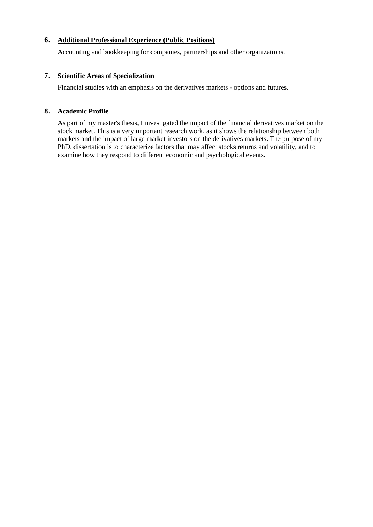## **6. Additional Professional Experience (Public Positions)**

Accounting and bookkeeping for companies, partnerships and other organizations.

## **7. Scientific Areas of Specialization**

Financial studies with an emphasis on the derivatives markets - options and futures.

## **8. Academic Profile**

As part of my master's thesis, I investigated the impact of the financial derivatives market on the stock market. This is a very important research work, as it shows the relationship between both markets and the impact of large market investors on the derivatives markets. The purpose of my PhD. dissertation is to characterize factors that may affect stocks returns and volatility, and to examine how they respond to different economic and psychological events.